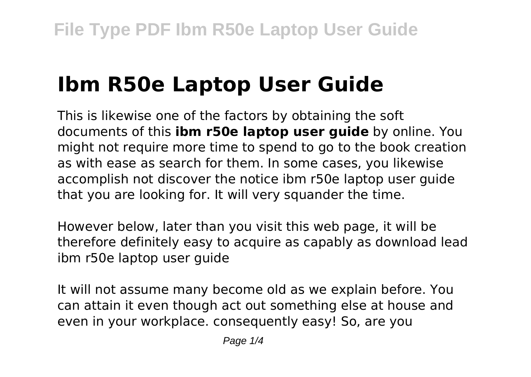# **Ibm R50e Laptop User Guide**

This is likewise one of the factors by obtaining the soft documents of this **ibm r50e laptop user guide** by online. You might not require more time to spend to go to the book creation as with ease as search for them. In some cases, you likewise accomplish not discover the notice ibm r50e laptop user guide that you are looking for. It will very squander the time.

However below, later than you visit this web page, it will be therefore definitely easy to acquire as capably as download lead ibm r50e laptop user guide

It will not assume many become old as we explain before. You can attain it even though act out something else at house and even in your workplace. consequently easy! So, are you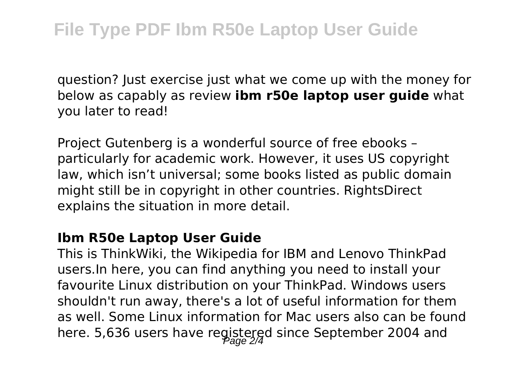question? Just exercise just what we come up with the money for below as capably as review **ibm r50e laptop user guide** what you later to read!

Project Gutenberg is a wonderful source of free ebooks – particularly for academic work. However, it uses US copyright law, which isn't universal; some books listed as public domain might still be in copyright in other countries. RightsDirect explains the situation in more detail.

#### **Ibm R50e Laptop User Guide**

This is ThinkWiki, the Wikipedia for IBM and Lenovo ThinkPad users.In here, you can find anything you need to install your favourite Linux distribution on your ThinkPad. Windows users shouldn't run away, there's a lot of useful information for them as well. Some Linux information for Mac users also can be found here. 5,636 users have registered since September 2004 and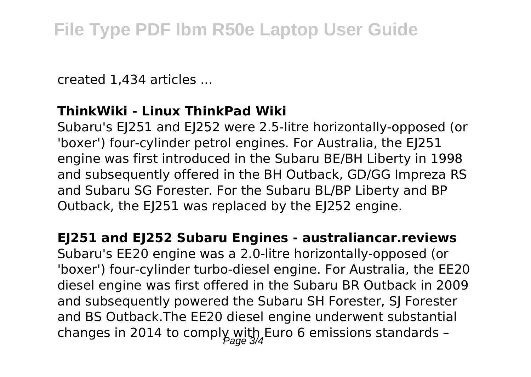created 1,434 articles ...

#### **ThinkWiki - Linux ThinkPad Wiki**

Subaru's EJ251 and EJ252 were 2.5-litre horizontally-opposed (or 'boxer') four-cylinder petrol engines. For Australia, the EJ251 engine was first introduced in the Subaru BE/BH Liberty in 1998 and subsequently offered in the BH Outback, GD/GG Impreza RS and Subaru SG Forester. For the Subaru BL/BP Liberty and BP Outback, the EJ251 was replaced by the EJ252 engine.

**EJ251 and EJ252 Subaru Engines - australiancar.reviews** Subaru's EE20 engine was a 2.0-litre horizontally-opposed (or

'boxer') four-cylinder turbo-diesel engine. For Australia, the EE20 diesel engine was first offered in the Subaru BR Outback in 2009 and subsequently powered the Subaru SH Forester, SJ Forester and BS Outback.The EE20 diesel engine underwent substantial changes in 2014 to comply with Euro 6 emissions standards -